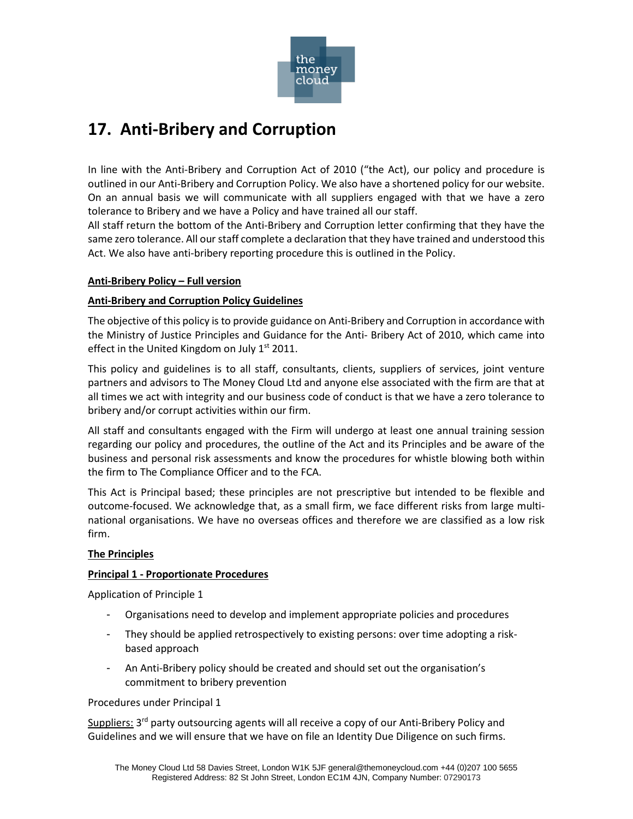

# **17. Anti-Bribery and Corruption**

In line with the Anti-Bribery and Corruption Act of 2010 ("the Act), our policy and procedure is outlined in our Anti-Bribery and Corruption Policy. We also have a shortened policy for our website. On an annual basis we will communicate with all suppliers engaged with that we have a zero tolerance to Bribery and we have a Policy and have trained all our staff.

All staff return the bottom of the Anti-Bribery and Corruption letter confirming that they have the same zero tolerance. All our staff complete a declaration that they have trained and understood this Act. We also have anti-bribery reporting procedure this is outlined in the Policy.

## **Anti-Bribery Policy – Full version**

## **Anti-Bribery and Corruption Policy Guidelines**

The objective of this policy is to provide guidance on Anti-Bribery and Corruption in accordance with the Ministry of Justice Principles and Guidance for the Anti- Bribery Act of 2010, which came into effect in the United Kingdom on July  $1<sup>st</sup>$  2011.

This policy and guidelines is to all staff, consultants, clients, suppliers of services, joint venture partners and advisors to The Money Cloud Ltd and anyone else associated with the firm are that at all times we act with integrity and our business code of conduct is that we have a zero tolerance to bribery and/or corrupt activities within our firm.

All staff and consultants engaged with the Firm will undergo at least one annual training session regarding our policy and procedures, the outline of the Act and its Principles and be aware of the business and personal risk assessments and know the procedures for whistle blowing both within the firm to The Compliance Officer and to the FCA.

This Act is Principal based; these principles are not prescriptive but intended to be flexible and outcome-focused. We acknowledge that, as a small firm, we face different risks from large multinational organisations. We have no overseas offices and therefore we are classified as a low risk firm.

# **The Principles**

### **Principal 1 - Proportionate Procedures**

Application of Principle 1

- Organisations need to develop and implement appropriate policies and procedures
- They should be applied retrospectively to existing persons: over time adopting a riskbased approach
- An Anti-Bribery policy should be created and should set out the organisation's commitment to bribery prevention

Procedures under Principal 1

Suppliers: 3<sup>rd</sup> party outsourcing agents will all receive a copy of our Anti-Bribery Policy and Guidelines and we will ensure that we have on file an Identity Due Diligence on such firms.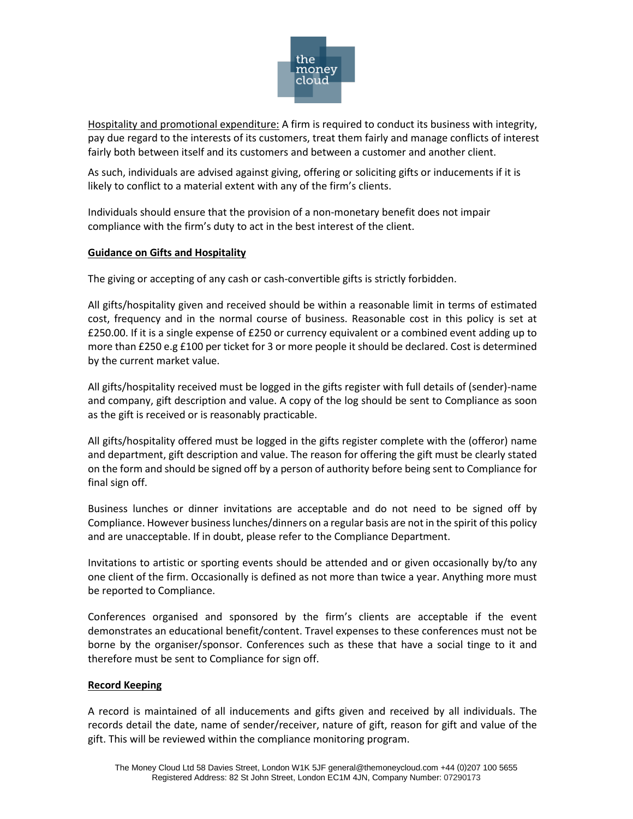

Hospitality and promotional expenditure: A firm is required to conduct its business with integrity, pay due regard to the interests of its customers, treat them fairly and manage conflicts of interest fairly both between itself and its customers and between a customer and another client.

As such, individuals are advised against giving, offering or soliciting gifts or inducements if it is likely to conflict to a material extent with any of the firm's clients.

Individuals should ensure that the provision of a non-monetary benefit does not impair compliance with the firm's duty to act in the best interest of the client.

### **Guidance on Gifts and Hospitality**

The giving or accepting of any cash or cash-convertible gifts is strictly forbidden.

All gifts/hospitality given and received should be within a reasonable limit in terms of estimated cost, frequency and in the normal course of business. Reasonable cost in this policy is set at £250.00. If it is a single expense of £250 or currency equivalent or a combined event adding up to more than £250 e.g £100 per ticket for 3 or more people it should be declared. Cost is determined by the current market value.

All gifts/hospitality received must be logged in the gifts register with full details of (sender)-name and company, gift description and value. A copy of the log should be sent to Compliance as soon as the gift is received or is reasonably practicable.

All gifts/hospitality offered must be logged in the gifts register complete with the (offeror) name and department, gift description and value. The reason for offering the gift must be clearly stated on the form and should be signed off by a person of authority before being sent to Compliance for final sign off.

Business lunches or dinner invitations are acceptable and do not need to be signed off by Compliance. However business lunches/dinners on a regular basis are not in the spirit of this policy and are unacceptable. If in doubt, please refer to the Compliance Department.

Invitations to artistic or sporting events should be attended and or given occasionally by/to any one client of the firm. Occasionally is defined as not more than twice a year. Anything more must be reported to Compliance.

Conferences organised and sponsored by the firm's clients are acceptable if the event demonstrates an educational benefit/content. Travel expenses to these conferences must not be borne by the organiser/sponsor. Conferences such as these that have a social tinge to it and therefore must be sent to Compliance for sign off.

### **Record Keeping**

A record is maintained of all inducements and gifts given and received by all individuals. The records detail the date, name of sender/receiver, nature of gift, reason for gift and value of the gift. This will be reviewed within the compliance monitoring program.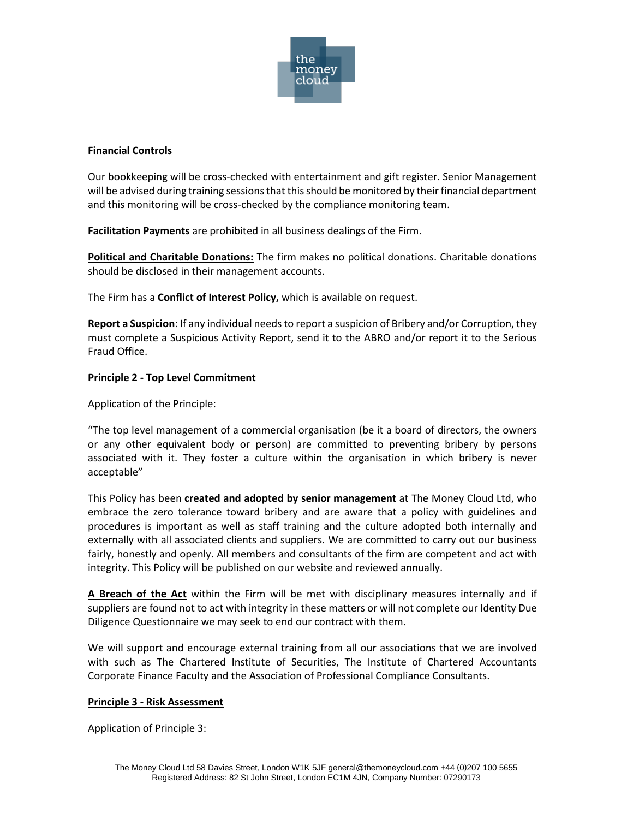

## **Financial Controls**

Our bookkeeping will be cross-checked with entertainment and gift register. Senior Management will be advised during training sessions that this should be monitored by their financial department and this monitoring will be cross-checked by the compliance monitoring team.

**Facilitation Payments** are prohibited in all business dealings of the Firm.

**Political and Charitable Donations:** The firm makes no political donations. Charitable donations should be disclosed in their management accounts.

The Firm has a **Conflict of Interest Policy,** which is available on request.

**Report a Suspicion**: If any individual needs to report a suspicion of Bribery and/or Corruption, they must complete a Suspicious Activity Report, send it to the ABRO and/or report it to the Serious Fraud Office.

## **Principle 2 - Top Level Commitment**

Application of the Principle:

"The top level management of a commercial organisation (be it a board of directors, the owners or any other equivalent body or person) are committed to preventing bribery by persons associated with it. They foster a culture within the organisation in which bribery is never acceptable"

This Policy has been **created and adopted by senior management** at The Money Cloud Ltd, who embrace the zero tolerance toward bribery and are aware that a policy with guidelines and procedures is important as well as staff training and the culture adopted both internally and externally with all associated clients and suppliers. We are committed to carry out our business fairly, honestly and openly. All members and consultants of the firm are competent and act with integrity. This Policy will be published on our website and reviewed annually.

**A Breach of the Act** within the Firm will be met with disciplinary measures internally and if suppliers are found not to act with integrity in these matters or will not complete our Identity Due Diligence Questionnaire we may seek to end our contract with them.

We will support and encourage external training from all our associations that we are involved with such as The Chartered Institute of Securities, The Institute of Chartered Accountants Corporate Finance Faculty and the Association of Professional Compliance Consultants.

### **Principle 3 - Risk Assessment**

Application of Principle 3: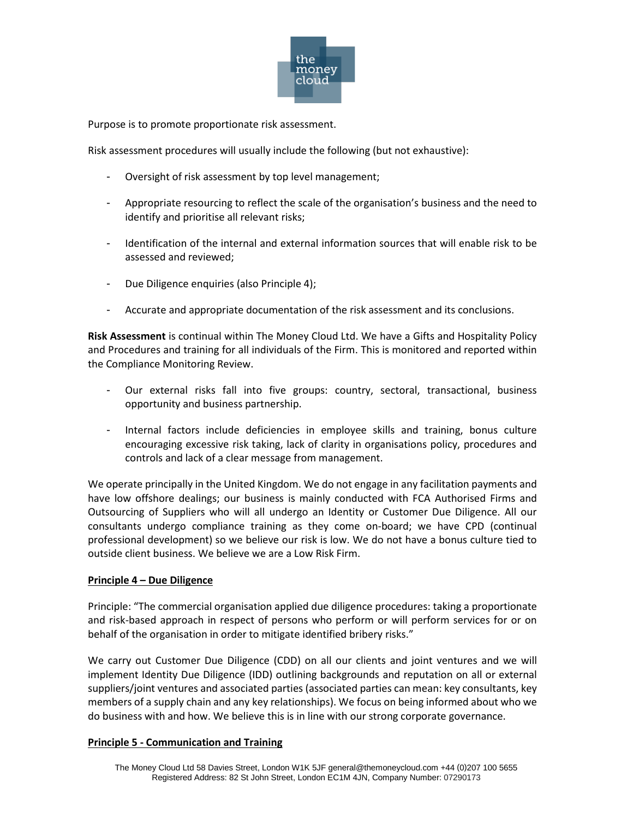

Purpose is to promote proportionate risk assessment.

Risk assessment procedures will usually include the following (but not exhaustive):

- Oversight of risk assessment by top level management;
- Appropriate resourcing to reflect the scale of the organisation's business and the need to identify and prioritise all relevant risks;
- Identification of the internal and external information sources that will enable risk to be assessed and reviewed;
- Due Diligence enquiries (also Principle 4);
- Accurate and appropriate documentation of the risk assessment and its conclusions.

**Risk Assessment** is continual within The Money Cloud Ltd. We have a Gifts and Hospitality Policy and Procedures and training for all individuals of the Firm. This is monitored and reported within the Compliance Monitoring Review.

- Our external risks fall into five groups: country, sectoral, transactional, business opportunity and business partnership.
- Internal factors include deficiencies in employee skills and training, bonus culture encouraging excessive risk taking, lack of clarity in organisations policy, procedures and controls and lack of a clear message from management.

We operate principally in the United Kingdom. We do not engage in any facilitation payments and have low offshore dealings; our business is mainly conducted with FCA Authorised Firms and Outsourcing of Suppliers who will all undergo an Identity or Customer Due Diligence. All our consultants undergo compliance training as they come on-board; we have CPD (continual professional development) so we believe our risk is low. We do not have a bonus culture tied to outside client business. We believe we are a Low Risk Firm.

### **Principle 4 – Due Diligence**

Principle: "The commercial organisation applied due diligence procedures: taking a proportionate and risk-based approach in respect of persons who perform or will perform services for or on behalf of the organisation in order to mitigate identified bribery risks."

We carry out Customer Due Diligence (CDD) on all our clients and joint ventures and we will implement Identity Due Diligence (IDD) outlining backgrounds and reputation on all or external suppliers/joint ventures and associated parties (associated parties can mean: key consultants, key members of a supply chain and any key relationships). We focus on being informed about who we do business with and how. We believe this is in line with our strong corporate governance.

#### **Principle 5 - Communication and Training**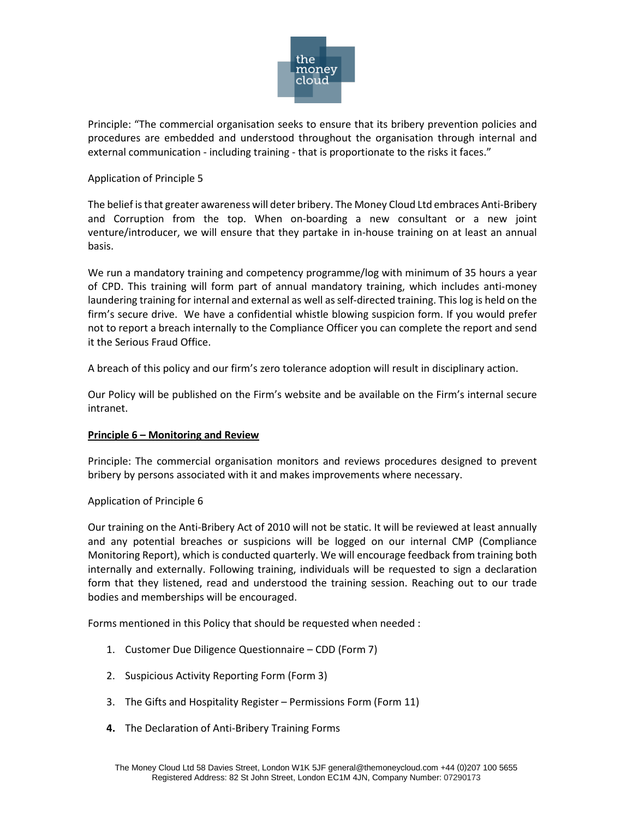

Principle: "The commercial organisation seeks to ensure that its bribery prevention policies and procedures are embedded and understood throughout the organisation through internal and external communication - including training - that is proportionate to the risks it faces."

#### Application of Principle 5

The belief is that greater awareness will deter bribery. The Money Cloud Ltd embraces Anti-Bribery and Corruption from the top. When on-boarding a new consultant or a new joint venture/introducer, we will ensure that they partake in in-house training on at least an annual basis.

We run a mandatory training and competency programme/log with minimum of 35 hours a year of CPD. This training will form part of annual mandatory training, which includes anti-money laundering training for internal and external as well asself-directed training. This log is held on the firm's secure drive. We have a confidential whistle blowing suspicion form. If you would prefer not to report a breach internally to the Compliance Officer you can complete the report and send it the Serious Fraud Office.

A breach of this policy and our firm's zero tolerance adoption will result in disciplinary action.

Our Policy will be published on the Firm's website and be available on the Firm's internal secure intranet.

#### **Principle 6 – Monitoring and Review**

Principle: The commercial organisation monitors and reviews procedures designed to prevent bribery by persons associated with it and makes improvements where necessary.

#### Application of Principle 6

Our training on the Anti-Bribery Act of 2010 will not be static. It will be reviewed at least annually and any potential breaches or suspicions will be logged on our internal CMP (Compliance Monitoring Report), which is conducted quarterly. We will encourage feedback from training both internally and externally. Following training, individuals will be requested to sign a declaration form that they listened, read and understood the training session. Reaching out to our trade bodies and memberships will be encouraged.

Forms mentioned in this Policy that should be requested when needed :

- 1. Customer Due Diligence Questionnaire CDD (Form 7)
- 2. Suspicious Activity Reporting Form (Form 3)
- 3. The Gifts and Hospitality Register Permissions Form (Form 11)
- **4.** The Declaration of Anti-Bribery Training Forms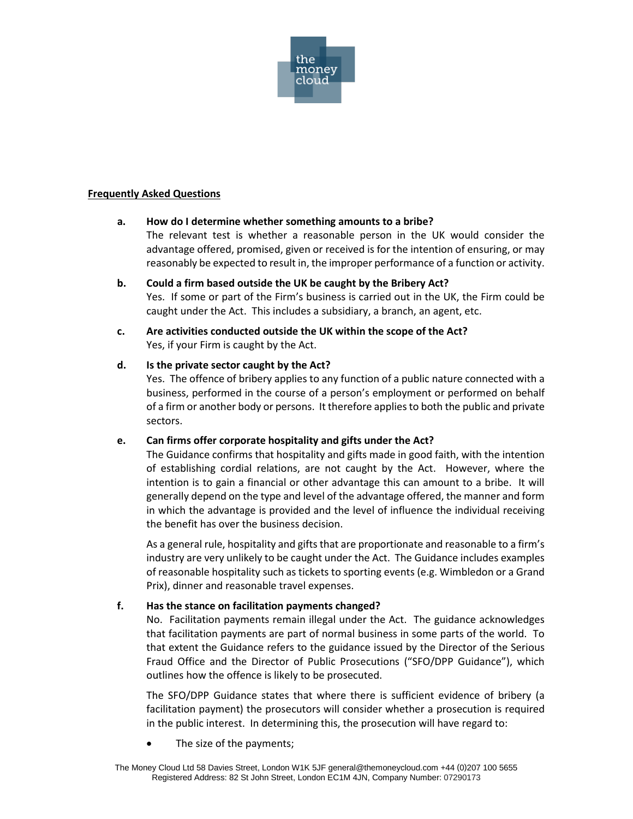

#### **Frequently Asked Questions**

#### **a. How do I determine whether something amounts to a bribe?**

The relevant test is whether a reasonable person in the UK would consider the advantage offered, promised, given or received is for the intention of ensuring, or may reasonably be expected to result in, the improper performance of a function or activity.

- **b. Could a firm based outside the UK be caught by the Bribery Act?** Yes. If some or part of the Firm's business is carried out in the UK, the Firm could be caught under the Act. This includes a subsidiary, a branch, an agent, etc.
- **c. Are activities conducted outside the UK within the scope of the Act?** Yes, if your Firm is caught by the Act.

#### **d. Is the private sector caught by the Act?**

Yes. The offence of bribery applies to any function of a public nature connected with a business, performed in the course of a person's employment or performed on behalf of a firm or another body or persons. It therefore applies to both the public and private sectors.

### **e. Can firms offer corporate hospitality and gifts under the Act?**

The Guidance confirms that hospitality and gifts made in good faith, with the intention of establishing cordial relations, are not caught by the Act. However, where the intention is to gain a financial or other advantage this can amount to a bribe. It will generally depend on the type and level of the advantage offered, the manner and form in which the advantage is provided and the level of influence the individual receiving the benefit has over the business decision.

As a general rule, hospitality and gifts that are proportionate and reasonable to a firm's industry are very unlikely to be caught under the Act. The Guidance includes examples of reasonable hospitality such as tickets to sporting events (e.g. Wimbledon or a Grand Prix), dinner and reasonable travel expenses.

### **f. Has the stance on facilitation payments changed?**

No. Facilitation payments remain illegal under the Act. The guidance acknowledges that facilitation payments are part of normal business in some parts of the world. To that extent the Guidance refers to the guidance issued by the Director of the Serious Fraud Office and the Director of Public Prosecutions ("SFO/DPP Guidance"), which outlines how the offence is likely to be prosecuted.

The SFO/DPP Guidance states that where there is sufficient evidence of bribery (a facilitation payment) the prosecutors will consider whether a prosecution is required in the public interest. In determining this, the prosecution will have regard to:

The size of the payments;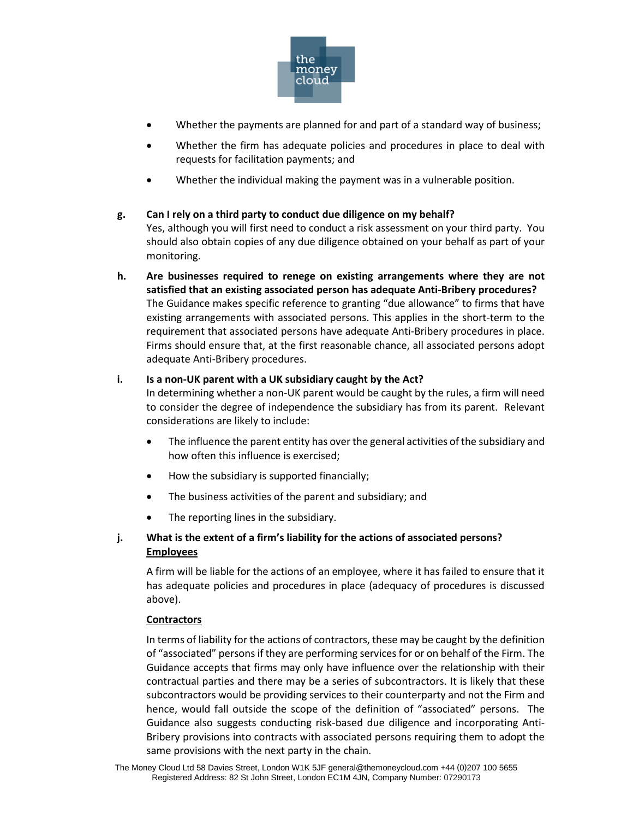

- Whether the payments are planned for and part of a standard way of business;
- Whether the firm has adequate policies and procedures in place to deal with requests for facilitation payments; and
- Whether the individual making the payment was in a vulnerable position.

# **g. Can I rely on a third party to conduct due diligence on my behalf?**

Yes, although you will first need to conduct a risk assessment on your third party. You should also obtain copies of any due diligence obtained on your behalf as part of your monitoring.

**h. Are businesses required to renege on existing arrangements where they are not satisfied that an existing associated person has adequate Anti-Bribery procedures?** The Guidance makes specific reference to granting "due allowance" to firms that have existing arrangements with associated persons. This applies in the short-term to the requirement that associated persons have adequate Anti-Bribery procedures in place. Firms should ensure that, at the first reasonable chance, all associated persons adopt adequate Anti-Bribery procedures.

## **i. Is a non-UK parent with a UK subsidiary caught by the Act?**

In determining whether a non-UK parent would be caught by the rules, a firm will need to consider the degree of independence the subsidiary has from its parent. Relevant considerations are likely to include:

- The influence the parent entity has over the general activities of the subsidiary and how often this influence is exercised;
- How the subsidiary is supported financially;
- The business activities of the parent and subsidiary; and
- The reporting lines in the subsidiary.

# **j. What is the extent of a firm's liability for the actions of associated persons? Employees**

A firm will be liable for the actions of an employee, where it has failed to ensure that it has adequate policies and procedures in place (adequacy of procedures is discussed above).

### **Contractors**

In terms of liability for the actions of contractors, these may be caught by the definition of "associated" persons if they are performing services for or on behalf of the Firm. The Guidance accepts that firms may only have influence over the relationship with their contractual parties and there may be a series of subcontractors. It is likely that these subcontractors would be providing services to their counterparty and not the Firm and hence, would fall outside the scope of the definition of "associated" persons. The Guidance also suggests conducting risk-based due diligence and incorporating Anti-Bribery provisions into contracts with associated persons requiring them to adopt the same provisions with the next party in the chain.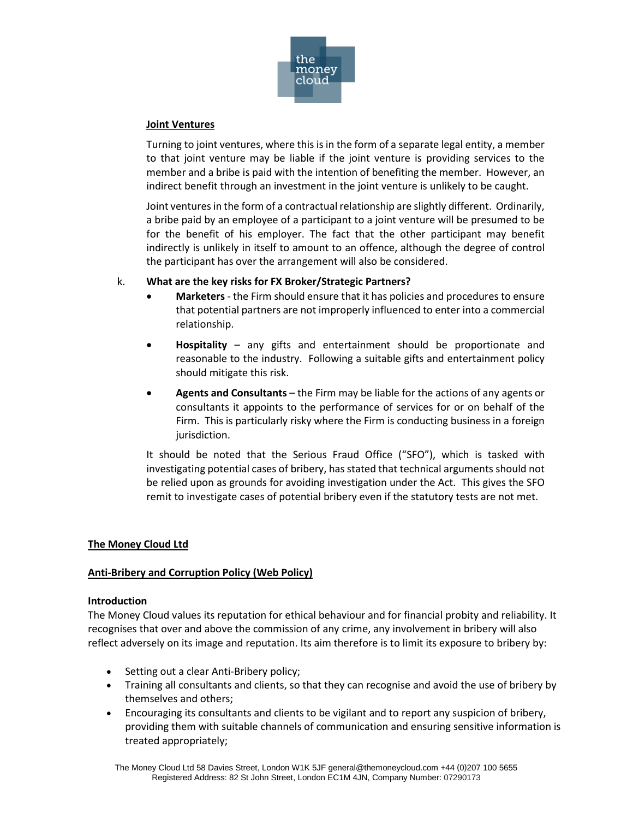

#### **Joint Ventures**

Turning to joint ventures, where this is in the form of a separate legal entity, a member to that joint venture may be liable if the joint venture is providing services to the member and a bribe is paid with the intention of benefiting the member. However, an indirect benefit through an investment in the joint venture is unlikely to be caught.

Joint ventures in the form of a contractual relationship are slightly different. Ordinarily, a bribe paid by an employee of a participant to a joint venture will be presumed to be for the benefit of his employer. The fact that the other participant may benefit indirectly is unlikely in itself to amount to an offence, although the degree of control the participant has over the arrangement will also be considered.

### k. **What are the key risks for FX Broker/Strategic Partners?**

- **Marketers** the Firm should ensure that it has policies and procedures to ensure that potential partners are not improperly influenced to enter into a commercial relationship.
- **Hospitality** any gifts and entertainment should be proportionate and reasonable to the industry. Following a suitable gifts and entertainment policy should mitigate this risk.
- **Agents and Consultants** the Firm may be liable for the actions of any agents or consultants it appoints to the performance of services for or on behalf of the Firm. This is particularly risky where the Firm is conducting business in a foreign jurisdiction.

It should be noted that the Serious Fraud Office ("SFO"), which is tasked with investigating potential cases of bribery, has stated that technical arguments should not be relied upon as grounds for avoiding investigation under the Act. This gives the SFO remit to investigate cases of potential bribery even if the statutory tests are not met.

### **The Money Cloud Ltd**

### **Anti-Bribery and Corruption Policy (Web Policy)**

#### **Introduction**

The Money Cloud values its reputation for ethical behaviour and for financial probity and reliability. It recognises that over and above the commission of any crime, any involvement in bribery will also reflect adversely on its image and reputation. Its aim therefore is to limit its exposure to bribery by:

- Setting out a clear Anti-Bribery policy;
- Training all consultants and clients, so that they can recognise and avoid the use of bribery by themselves and others;
- Encouraging its consultants and clients to be vigilant and to report any suspicion of bribery, providing them with suitable channels of communication and ensuring sensitive information is treated appropriately;